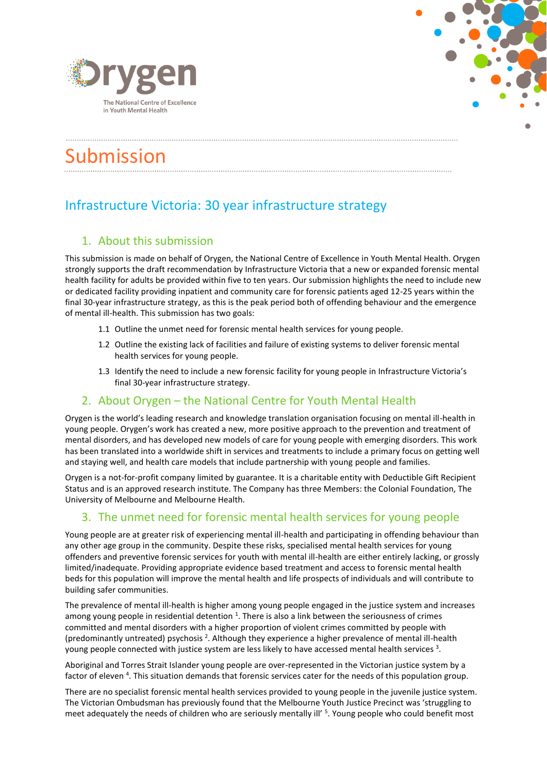



# Submission

## Infrastructure Victoria: 30 year infrastructure strategy

### 1. About this submission

This submission is made on behalf of Orygen, the National Centre of Excellence in Youth Mental Health. Orygen strongly supports the draft recommendation by Infrastructure Victoria that a new or expanded forensic mental health facility for adults be provided within five to ten years. Our submission highlights the need to include new or dedicated facility providing inpatient and community care for forensic patients aged 12-25 years within the final 30-year infrastructure strategy, as this is the peak period both of offending behaviour and the emergence of mental ill-health. This submission has two goals:

- 1.1 Outline the unmet need for forensic mental health services for young people.
- 1.2 Outline the existing lack of facilities and failure of existing systems to deliver forensic mental health services for young people.
- 1.3 Identify the need to include a new forensic facility for young people in Infrastructure Victoria's final 30-year infrastructure strategy.

#### 2. About Orygen – the National Centre for Youth Mental Health

Orygen is the world's leading research and knowledge translation organisation focusing on mental ill-health in young people. Orygen's work has created a new, more positive approach to the prevention and treatment of mental disorders, and has developed new models of care for young people with emerging disorders. This work has been translated into a worldwide shift in services and treatments to include a primary focus on getting well and staying well, and health care models that include partnership with young people and families.

Orygen is a not-for-profit company limited by guarantee. It is a charitable entity with Deductible Gift Recipient Status and is an approved research institute. The Company has three Members: the Colonial Foundation, The University of Melbourne and Melbourne Health.

#### 3. The unmet need for forensic mental health services for young people

Young people are at greater risk of experiencing mental ill-health and participating in offending behaviour than any other age group in the community. Despite these risks, specialised mental health services for young offenders and preventive forensic services for youth with mental ill-health are either entirely lacking, or grossly limited/inadequate. Providing appropriate evidence based treatment and access to forensic mental health beds for this population will improve the mental health and life prospects of individuals and will contribute to building safer communities.

The prevalence of mental ill-health is higher among young people engaged in the justice system and increases among young people in residential detention  $^1$ . There is also a link between the seriousness of crimes committed and mental disorders with a higher proportion of violent crimes committed by people with (predominantly untreated) psychosis <sup>2</sup>. Although they experience a higher prevalence of mental ill-health young people connected with justice system are less likely to have accessed mental health services  $^3$ .

Aboriginal and Torres Strait Islander young people are over-represented in the Victorian justice system by a factor of eleven <sup>4</sup>. This situation demands that forensic services cater for the needs of this population group.

There are no specialist forensic mental health services provided to young people in the juvenile justice system. The Victorian Ombudsman has previously found that the Melbourne Youth Justice Precinct was 'struggling to meet adequately the needs of children who are seriously mentally ill' <sup>5</sup>. Young people who could benefit most